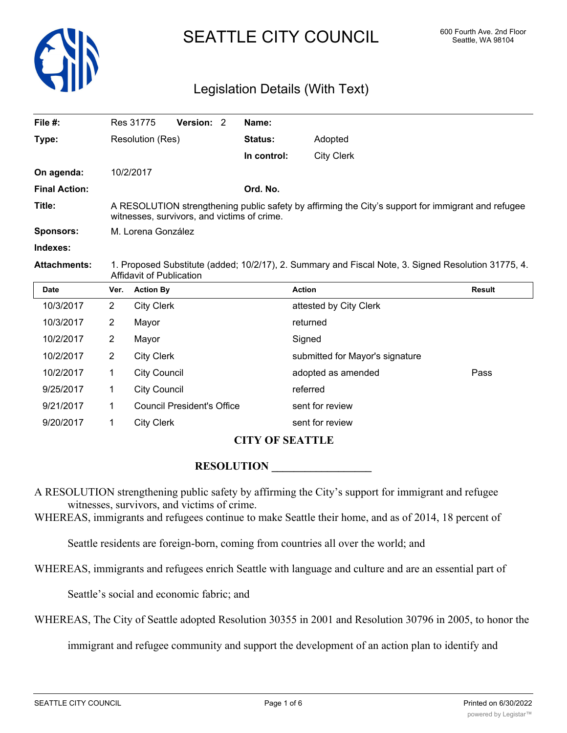

# SEATTLE CITY COUNCIL 600 Fourth Ave. 2nd Floor

# Legislation Details (With Text)

| File #:              | Res 31775                                                                                                                                         | Version: 2 | Name:          |                   |
|----------------------|---------------------------------------------------------------------------------------------------------------------------------------------------|------------|----------------|-------------------|
| Type:                | Resolution (Res)                                                                                                                                  |            | <b>Status:</b> | Adopted           |
|                      |                                                                                                                                                   |            | In control:    | <b>City Clerk</b> |
| On agenda:           | 10/2/2017                                                                                                                                         |            |                |                   |
| <b>Final Action:</b> |                                                                                                                                                   |            | Ord. No.       |                   |
| Title:               | A RESOLUTION strengthening public safety by affirming the City's support for immigrant and refugee<br>witnesses, survivors, and victims of crime. |            |                |                   |
| <b>Sponsors:</b>     | M. Lorena González                                                                                                                                |            |                |                   |
| Indexes:             |                                                                                                                                                   |            |                |                   |

**Attachments:** 1. Proposed Substitute (added; 10/2/17), 2. Summary and Fiscal Note, 3. Signed Resolution 31775, 4. Affidavit of Publication

| <b>Date</b> | Ver. | <b>Action By</b>                  | <b>Action</b>                   | Result |
|-------------|------|-----------------------------------|---------------------------------|--------|
| 10/3/2017   | 2    | <b>City Clerk</b>                 | attested by City Clerk          |        |
| 10/3/2017   | 2    | Mayor                             | returned                        |        |
| 10/2/2017   | 2    | Mayor                             | Signed                          |        |
| 10/2/2017   | 2    | <b>City Clerk</b>                 | submitted for Mayor's signature |        |
| 10/2/2017   | 1    | <b>City Council</b>               | adopted as amended              | Pass   |
| 9/25/2017   | 1    | <b>City Council</b>               | referred                        |        |
| 9/21/2017   |      | <b>Council President's Office</b> | sent for review                 |        |
| 9/20/2017   |      | <b>City Clerk</b>                 | sent for review                 |        |

## **CITY OF SEATTLE**

#### **RESOLUTION**

A RESOLUTION strengthening public safety by affirming the City's support for immigrant and refugee witnesses, survivors, and victims of crime.

WHEREAS, immigrants and refugees continue to make Seattle their home, and as of 2014, 18 percent of

Seattle residents are foreign-born, coming from countries all over the world; and

WHEREAS, immigrants and refugees enrich Seattle with language and culture and are an essential part of

Seattle's social and economic fabric; and

WHEREAS, The City of Seattle adopted Resolution 30355 in 2001 and Resolution 30796 in 2005, to honor the

immigrant and refugee community and support the development of an action plan to identify and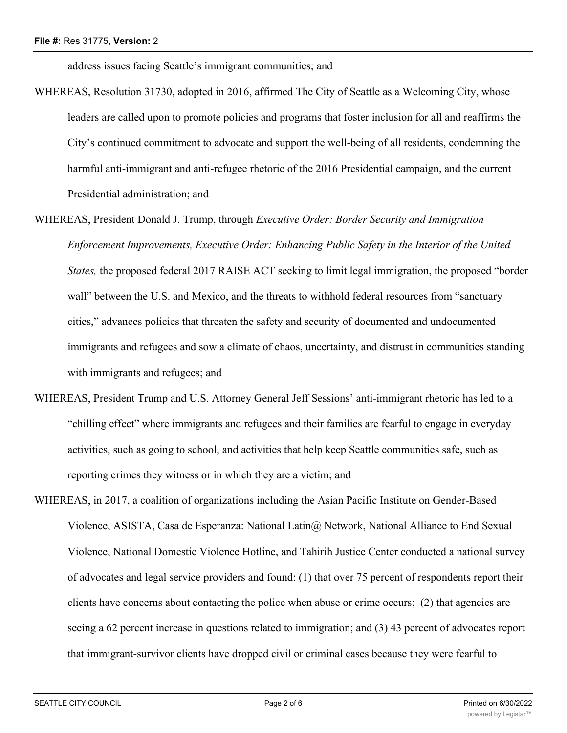address issues facing Seattle's immigrant communities; and

- WHEREAS, Resolution 31730, adopted in 2016, affirmed The City of Seattle as a Welcoming City, whose leaders are called upon to promote policies and programs that foster inclusion for all and reaffirms the City's continued commitment to advocate and support the well-being of all residents, condemning the harmful anti-immigrant and anti-refugee rhetoric of the 2016 Presidential campaign, and the current Presidential administration; and
- WHEREAS, President Donald J. Trump, through *Executive Order: Border Security and Immigration Enforcement Improvements, Executive Order: Enhancing Public Safety in the Interior of the United States,* the proposed federal 2017 RAISE ACT seeking to limit legal immigration, the proposed "border wall" between the U.S. and Mexico, and the threats to withhold federal resources from "sanctuary cities," advances policies that threaten the safety and security of documented and undocumented immigrants and refugees and sow a climate of chaos, uncertainty, and distrust in communities standing with immigrants and refugees; and
- WHEREAS, President Trump and U.S. Attorney General Jeff Sessions' anti-immigrant rhetoric has led to a "chilling effect" where immigrants and refugees and their families are fearful to engage in everyday activities, such as going to school, and activities that help keep Seattle communities safe, such as reporting crimes they witness or in which they are a victim; and
- WHEREAS, in 2017, a coalition of organizations including the Asian Pacific Institute on Gender-Based Violence, ASISTA, Casa de Esperanza: National Latin@ Network, National Alliance to End Sexual Violence, National Domestic Violence Hotline, and Tahirih Justice Center conducted a national survey of advocates and legal service providers and found: (1) that over 75 percent of respondents report their clients have concerns about contacting the police when abuse or crime occurs; (2) that agencies are seeing a 62 percent increase in questions related to immigration; and (3) 43 percent of advocates report that immigrant-survivor clients have dropped civil or criminal cases because they were fearful to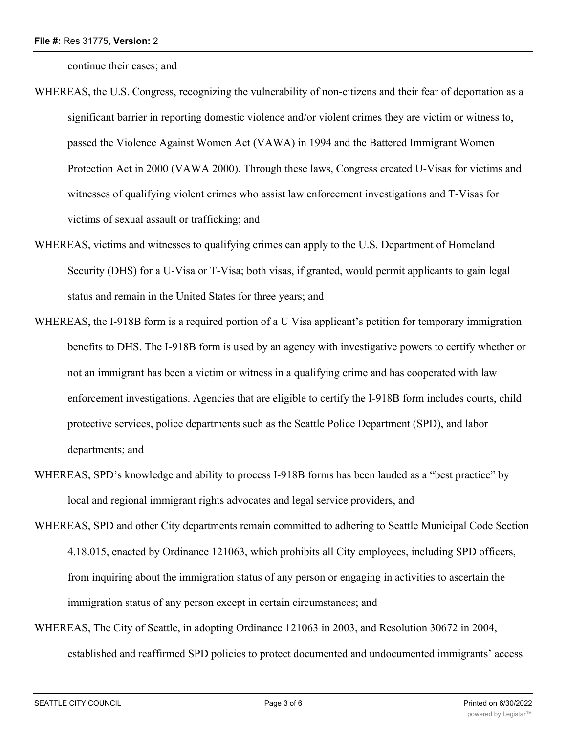continue their cases; and

- WHEREAS, the U.S. Congress, recognizing the vulnerability of non-citizens and their fear of deportation as a significant barrier in reporting domestic violence and/or violent crimes they are victim or witness to, passed the Violence Against Women Act (VAWA) in 1994 and the Battered Immigrant Women Protection Act in 2000 (VAWA 2000). Through these laws, Congress created U-Visas for victims and witnesses of qualifying violent crimes who assist law enforcement investigations and T-Visas for victims of sexual assault or trafficking; and
- WHEREAS, victims and witnesses to qualifying crimes can apply to the U.S. Department of Homeland Security (DHS) for a U-Visa or T-Visa; both visas, if granted, would permit applicants to gain legal status and remain in the United States for three years; and
- WHEREAS, the I-918B form is a required portion of a U Visa applicant's petition for temporary immigration benefits to DHS. The I-918B form is used by an agency with investigative powers to certify whether or not an immigrant has been a victim or witness in a qualifying crime and has cooperated with law enforcement investigations. Agencies that are eligible to certify the I-918B form includes courts, child protective services, police departments such as the Seattle Police Department (SPD), and labor departments; and
- WHEREAS, SPD's knowledge and ability to process I-918B forms has been lauded as a "best practice" by local and regional immigrant rights advocates and legal service providers, and
- WHEREAS, SPD and other City departments remain committed to adhering to Seattle Municipal Code Section 4.18.015, enacted by Ordinance 121063, which prohibits all City employees, including SPD officers, from inquiring about the immigration status of any person or engaging in activities to ascertain the immigration status of any person except in certain circumstances; and
- WHEREAS, The City of Seattle, in adopting Ordinance 121063 in 2003, and Resolution 30672 in 2004, established and reaffirmed SPD policies to protect documented and undocumented immigrants' access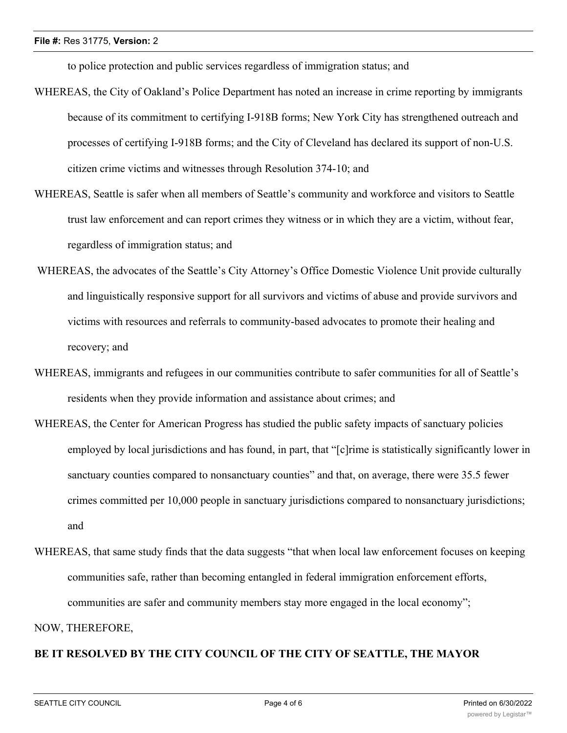to police protection and public services regardless of immigration status; and

- WHEREAS, the City of Oakland's Police Department has noted an increase in crime reporting by immigrants because of its commitment to certifying I-918B forms; New York City has strengthened outreach and processes of certifying I-918B forms; and the City of Cleveland has declared its support of non-U.S. citizen crime victims and witnesses through Resolution 374-10; and
- WHEREAS, Seattle is safer when all members of Seattle's community and workforce and visitors to Seattle trust law enforcement and can report crimes they witness or in which they are a victim, without fear, regardless of immigration status; and
- WHEREAS, the advocates of the Seattle's City Attorney's Office Domestic Violence Unit provide culturally and linguistically responsive support for all survivors and victims of abuse and provide survivors and victims with resources and referrals to community-based advocates to promote their healing and recovery; and
- WHEREAS, immigrants and refugees in our communities contribute to safer communities for all of Seattle's residents when they provide information and assistance about crimes; and
- WHEREAS, the Center for American Progress has studied the public safety impacts of sanctuary policies employed by local jurisdictions and has found, in part, that "[c]rime is statistically significantly lower in sanctuary counties compared to nonsanctuary counties" and that, on average, there were 35.5 fewer crimes committed per 10,000 people in sanctuary jurisdictions compared to nonsanctuary jurisdictions; and
- WHEREAS, that same study finds that the data suggests "that when local law enforcement focuses on keeping communities safe, rather than becoming entangled in federal immigration enforcement efforts, communities are safer and community members stay more engaged in the local economy";

NOW, THEREFORE,

### **BE IT RESOLVED BY THE CITY COUNCIL OF THE CITY OF SEATTLE, THE MAYOR**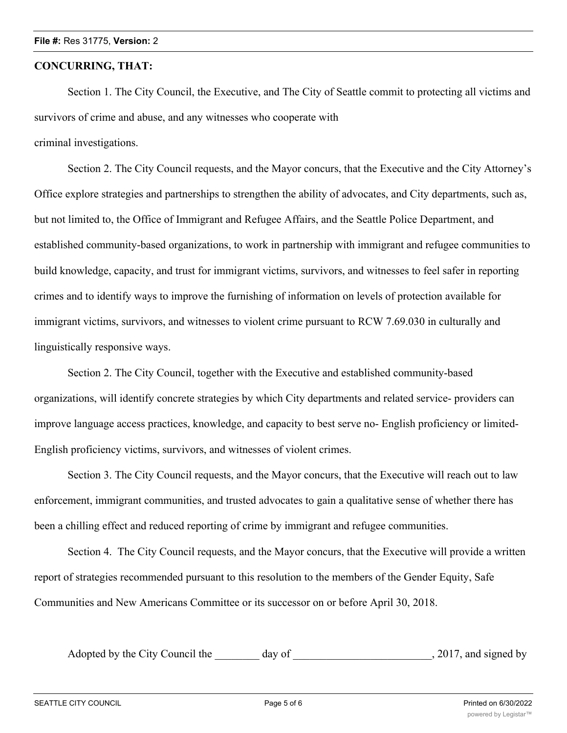#### **CONCURRING, THAT:**

Section 1. The City Council, the Executive, and The City of Seattle commit to protecting all victims and survivors of crime and abuse, and any witnesses who cooperate with

criminal investigations.

Section 2. The City Council requests, and the Mayor concurs, that the Executive and the City Attorney's Office explore strategies and partnerships to strengthen the ability of advocates, and City departments, such as, but not limited to, the Office of Immigrant and Refugee Affairs, and the Seattle Police Department, and established community-based organizations, to work in partnership with immigrant and refugee communities to build knowledge, capacity, and trust for immigrant victims, survivors, and witnesses to feel safer in reporting crimes and to identify ways to improve the furnishing of information on levels of protection available for immigrant victims, survivors, and witnesses to violent crime pursuant to RCW 7.69.030 in culturally and linguistically responsive ways.

Section 2. The City Council, together with the Executive and established community-based organizations, will identify concrete strategies by which City departments and related service- providers can improve language access practices, knowledge, and capacity to best serve no- English proficiency or limited-English proficiency victims, survivors, and witnesses of violent crimes.

Section 3. The City Council requests, and the Mayor concurs, that the Executive will reach out to law enforcement, immigrant communities, and trusted advocates to gain a qualitative sense of whether there has been a chilling effect and reduced reporting of crime by immigrant and refugee communities.

Section 4. The City Council requests, and the Mayor concurs, that the Executive will provide a written report of strategies recommended pursuant to this resolution to the members of the Gender Equity, Safe Communities and New Americans Committee or its successor on or before April 30, 2018.

Adopted by the City Council the day of  $\qquad \qquad$ , 2017, and signed by